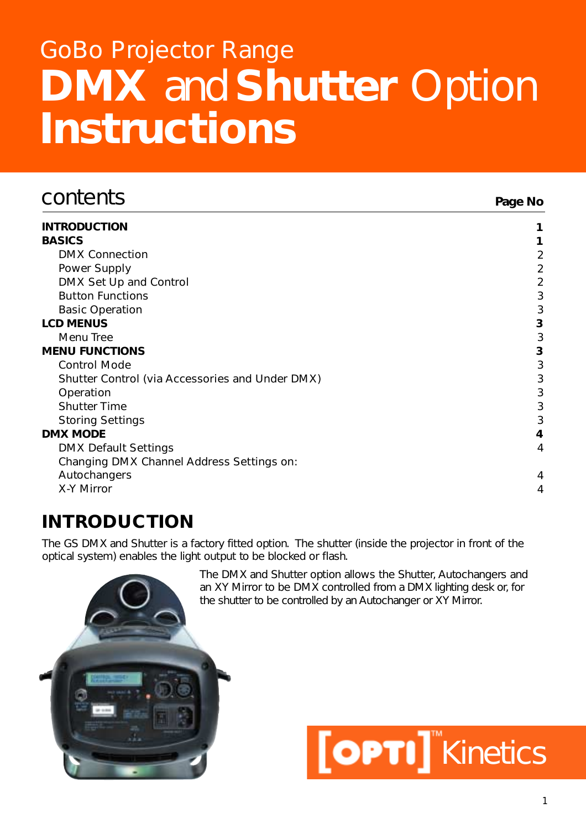# **DMX** and **Shutter** Option **Instructions** GoBo Projector Range

| contents                                        | Page No        |
|-------------------------------------------------|----------------|
| <b>INTRODUCTION</b>                             |                |
| <b>BASICS</b>                                   |                |
| <b>DMX Connection</b>                           | $\overline{2}$ |
| Power Supply                                    | 2              |
| DMX Set Up and Control                          | $\overline{2}$ |
| <b>Button Functions</b>                         | 3              |
| <b>Basic Operation</b>                          | 3              |
| <b>LCD MENUS</b>                                | 3              |
| Menu Tree                                       | 3              |
| <b>MENU FUNCTIONS</b>                           | 3              |
| <b>Control Mode</b>                             | $\mathfrak{Z}$ |
| Shutter Control (via Accessories and Under DMX) | 3              |
| Operation                                       | $\mathfrak{Z}$ |
| <b>Shutter Time</b>                             | 3              |
| <b>Storing Settings</b>                         | 3              |
| <b>DMX MODE</b>                                 | 4              |
| <b>DMX Default Settings</b>                     | 4              |
| Changing DMX Channel Address Settings on:       |                |
| Autochangers                                    | 4              |
| X-Y Mirror                                      | 4              |

# **INTRODUCTION**

The GS DMX and Shutter is a factory fitted option. The shutter (inside the projector in front of the optical system) enables the light output to be blocked or flash.

> The DMX and Shutter option allows the Shutter, Autochangers and an XY Mirror to be DMX controlled from a DMX lighting desk or, for the shutter to be controlled by an Autochanger or XY Mirror.



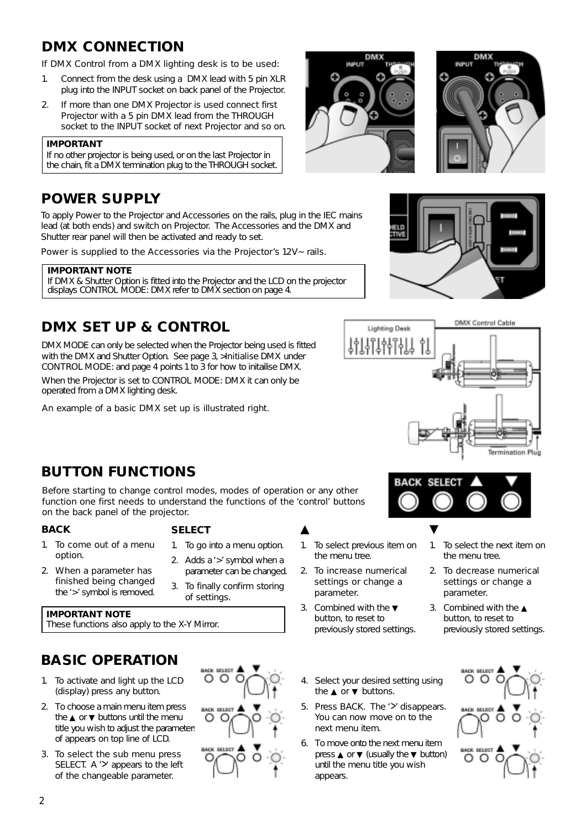# **DMX CONNECTION**

If DMX Control from a DMX lighting desk is to be used:

- 1. Connect from the desk using a DMX lead with 5 pin XLR plug into the INPUT socket on back panel of the Projector.
- 2. If more than one DMX Projector is used connect first Projector with a 5 pin DMX lead from the THROUGH socket to the INPUT socket of next Projector and so on.

#### **IMPORTANT**

If no other projector is being used, or on the last Projector in the chain, fit a DMX termination plug to the THROUGH socket.

# **POWER SUPPLY**

To apply Power to the Projector and Accessories on the rails, plug in the IEC mains lead (at both ends) and switch on Projector. The Accessories and the DMX and Shutter rear panel will then be activated and ready to set.

Power is supplied to the Accessories via the Projector's 12V ~ rails.

#### **IMPORTANT NOTE** If DMX & Shutter Option is fitted into the Projector and the LCD on the projector displays CONTROL MODE: DMX refer to DMX section on page 4.

# **DMX SET UP & CONTROL**

DMX MODE can only be selected when the Projector being used is fitted with the DMX and Shutter Option. See page 3, >Initialise DMX under CONTROL MODE: and page 4 points 1 to 3 for how to initailise DMX.

When the Projector is set to CONTROL MODE: DMX it can only be operated from a DMX lighting desk.

An example of a basic DMX set up is illustrated right.









SELEC

# **BUTTON FUNCTIONS**

Before starting to change control modes, modes of operation or any other function one first needs to understand the functions of the 'control' buttons on the back panel of the projector.

#### **BACK**

#### 1. To come out of a menu option.

- **SELECT**
- 1. To go into a menu option.
- 2. When a parameter has finished being changed the '>' symbol is removed.
- 2. Adds a '>' symbol when a parameter can be changed.
- 3. To finally confirm storing of settings.

#### **IMPORTANT NOTE**

These functions also apply to the X-Y Mirror.

# **BASIC OPERATION**

- 1. To activate and light up the LCD (display) press any button.
- 2. To choose a main menu item press the ▲ or ▼ buttons until the menu title you wish to adjust the parameters of appears on top line of LCD.
- 3. To select the sub menu press SELECT. A '>' appears to the left of the changeable parameter.



- ▲ 1. To select previous item on the menu tree. ▼
- 2. To increase numerical settings or change a parameter.
- 3. Combined with the ▼ button, to reset to previously stored settings.
- 4. Select your desired setting using the ▲ or ▼ buttons.
- 5. Press BACK. The '>' disappears. You can now move on to the next menu item.
- 6. To move onto the next menu item press ▲ or ▼ (usually the ▼ button) until the menu title you wish appears.



3. Combined with the ▲ button, to reset to previously stored settings.

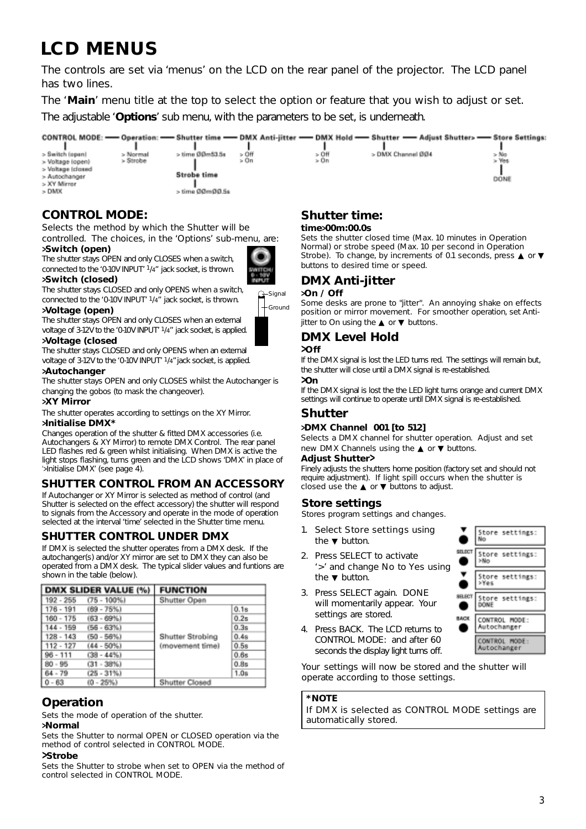# **LCD MENUS**

The controls are set via 'menus' on the LCD on the rear panel of the projector. The LCD panel has two lines.

The '**Main**' menu title at the top to select the option or feature that you wish to adjust or set.

The adjustable '**Options**' sub menu, with the parameters to be set, is underneath.



#### **CONTROL MODE:**

Selects the method by which the Shutter will be controlled. The choices, in the 'Options' sub-menu, are:

#### **>Switch (open)**

The shutter stays OPEN and only CLOSES when a switch, connected to the '0-10V INPUT' 1/4" jack socket, is thrown. **>Switch (closed)**

The shutter stays CLOSED and only OPENS when a switch, connected to the '0-10V INPUT' 1/4" jack socket, is thrown.

#### **>Voltage (open)**

The shutter stays OPEN and only CLOSES when an external voltage of 3-12V to the '0-10V INPUT' 1/4" jack socket, is applied.

# **>Voltage (closed**

The shutter stays CLOSED and only OPENS when an external voltage of 3-12V to the '0-10V INPUT' <sup>1</sup>/4" jack socket, is applied.

#### **>Autochanger**

The shutter stays OPEN and only CLOSES whilst the Autochanger is changing the gobos (to mask the changeover).

#### **>XY Mirror**

The shutter operates according to settings on the XY Mirror.

#### **>Initialise DMX\***

Changes operation of the shutter & fitted DMX accessories (i.e. Autochangers & XY Mirror) to remote DMX Control. The rear panel LED flashes red & green whilst initialising. When DMX is active the light stops flashing, turns green and the LCD shows 'DMX' in place of '>Initialise DMX' (see page 4).

#### **SHUTTER CONTROL FROM AN ACCESSORY**

If Autochanger or XY Mirror is selected as method of control (and Shutter is selected on the effect accessory) the shutter will respond to signals from the Accessory and operate in the mode of operation selected at the interval 'time' selected in the Shutter time menu.

#### **SHUTTER CONTROL UNDER DMX**

If DMX is selected the shutter operates from a DMX desk. If the autochanger(s) and/or XY mirror are set to DMX they can also be operated from a DMX desk. The typical slider values and funtions are shown in the table (below).

|             | <b>DMX SLIDER VALUE (%)</b> | <b>FUNCTION</b>  |      |
|-------------|-----------------------------|------------------|------|
| 192 - 255   | $(75 - 100\%)$              | Shutter Open     |      |
| $176 - 191$ | $(69 - 75%)$                |                  | 0.1s |
| $160 - 175$ | $(63 - 69%)$                |                  | 0.25 |
| $144 - 159$ | $(56 - 63%)$                |                  | 0.3s |
| $128 - 143$ | $(50 - 56%)$                | Shutter Strobing | 0.48 |
| $112 - 127$ | $(44 - 50\%)$               | (movement time)  | 0.58 |
| $96 - 111$  | $(38 - 44%)$                |                  | 0.6s |
| $80 - 95$   | $(31 - 38%)$                |                  | 0.8s |
| $64 - 79$   | $(25 - 31%)$                |                  | 1.0s |
| $0 - 63$    | $(0 - 25%)$                 | Shutter Closed   |      |

#### **Operation**

Sets the mode of operation of the shutter.

#### **>Normal**

Sets the Shutter to normal OPEN or CLOSED operation via the method of control selected in CONTROL MODE.

#### **>Strobe**

Sets the Shutter to strobe when set to OPEN via the method of control selected in CONTROL MODE.

# **Shutter time:**

#### **time>00m:00.0s**

Sets the shutter closed time (Max. 10 minutes in Operation Normal) or strobe speed (Max. 10 per second in Operation Strobe). To change, by increments of 0.1 seconds, press ▲ or ▼ buttons to desired time or speed.

#### **DMX Anti-jitter**

#### **>On / Off**

Some desks are prone to "jitter". An annoying shake on effects position or mirror movement. For smoother operation, set Antijitter to On using the  $\blacktriangle$  or  $\nabla$  buttons.

### **DMX Level Hold**

#### **>Off**

Ground Signal

> If the DMX signal is lost the LED turns red. The settings will remain but, the shutter will close until a DMX signal is re-established.

#### **>On**

If the DMX signal is lost the the LED light turns orange and current DMX settings will continue to operate until DMX signal is re-established.

### **Shutter**

#### **>DMX Channel 001 [to 512]**

Selects a DMX channel for shutter operation. Adjust and set new DMX Channels using the **▲** or **▼** buttons.

#### **Adjust Shutter>**

Finely adjusts the shutters home position (factory set and should not require adjustment). If light spill occurs when the shutter is closed use the  $\blacktriangle$  or  $\nabla$  buttons to adjust.

#### **Store settings**

Stores program settings and changes.

- 1. Select Store settings using the ▼ button.
- 2. Press SELECT to activate '>' and change No to Yes using the ▼ button.
- 3. Press SELECT again. DONE will momentarily appear. Your settings are stored.



4. Press BACK. The LCD returns to CONTROL MODE: and after 60 seconds the display light turns off.

Your settings will now be stored and the shutter will operate according to those settings.

#### **\*NOTE**

If DMX is selected as CONTROL MODE settings are automatically stored.